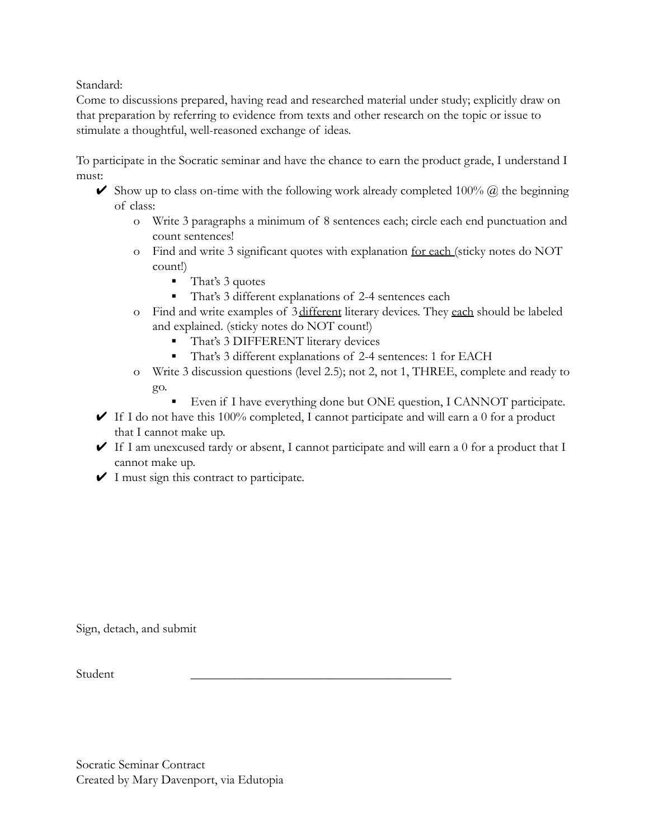Standard:

Come to discussions prepared, having read and researched material under study; explicitly draw on that preparation by referring to evidence from texts and other research on the topic or issue to stimulate a thoughtful, well-reasoned exchange of ideas.

To participate in the Socratic seminar and have the chance to earn the product grade, I understand I must:

- Show up to class on-time with the following work already completed 100%  $\omega$  the beginning of class:
	- o Write 3 paragraphs a minimum of 8 sentences each; circle each end punctuation and count sentences!
	- o Find and write 3 significant quotes with explanation for each (sticky notes do NOT count!)
		- That's 3 quotes
		- That's 3 different explanations of 2-4 sentences each
	- o Find and write examples of 3different literary devices. They each should be labeled and explained. (sticky notes do NOT count!)
		- That's 3 DIFFERENT literary devices
		- That's 3 different explanations of 2-4 sentences: 1 for EACH
	- o Write 3 discussion questions (level 2.5); not 2, not 1, THREE, complete and ready to go.
		- Even if I have everything done but ONE question, I CANNOT participate.
- $\blacktriangleright$  If I do not have this 100% completed, I cannot participate and will earn a 0 for a product that I cannot make up.
- $\blacktriangleright$  If I am unexcused tardy or absent, I cannot participate and will earn a 0 for a product that I cannot make up.
- $\checkmark$  I must sign this contract to participate.

Sign, detach, and submit

 $Student$   $\qquad \qquad$ 

Socratic Seminar Contract Created by Mary Davenport, via Edutopia